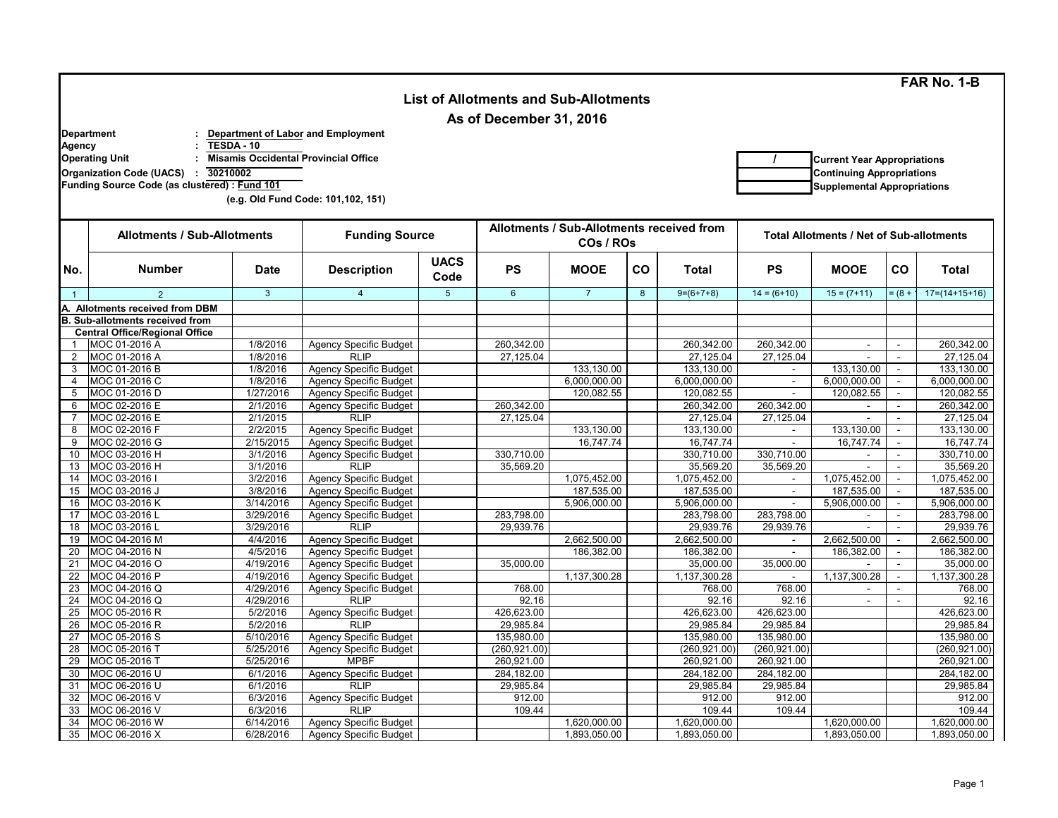**FAR No. 1-B**

|                                                                                              |                                                                           |                        |                                              |                         |                                                        |                |    |                 |                                                 |                                    |                             | <b>FAR NO. 1-B</b> |
|----------------------------------------------------------------------------------------------|---------------------------------------------------------------------------|------------------------|----------------------------------------------|-------------------------|--------------------------------------------------------|----------------|----|-----------------|-------------------------------------------------|------------------------------------|-----------------------------|--------------------|
| <b>List of Allotments and Sub-Allotments</b>                                                 |                                                                           |                        |                                              |                         |                                                        |                |    |                 |                                                 |                                    |                             |                    |
|                                                                                              |                                                                           |                        |                                              |                         | As of December 31, 2016                                |                |    |                 |                                                 |                                    |                             |                    |
|                                                                                              |                                                                           |                        |                                              |                         |                                                        |                |    |                 |                                                 |                                    |                             |                    |
|                                                                                              | <b>Department</b>                                                         | TESDA-10               | Department of Labor and Employment           |                         |                                                        |                |    |                 |                                                 |                                    |                             |                    |
|                                                                                              | <b>Agency</b><br><b>Misamis Occidental Provincial Office</b>              |                        |                                              |                         |                                                        |                |    |                 |                                                 | <b>Current Year Appropriations</b> |                             |                    |
|                                                                                              | <b>Operating Unit</b>                                                     |                        |                                              |                         |                                                        |                |    |                 |                                                 |                                    |                             |                    |
| 30210002<br><b>Organization Code (UACS)</b><br>Funding Source Code (as clustered) : Fund 101 |                                                                           |                        |                                              |                         |                                                        |                |    |                 |                                                 | <b>Continuing Appropriations</b>   |                             |                    |
|                                                                                              |                                                                           |                        |                                              |                         |                                                        |                |    |                 |                                                 | <b>Supplemental Appropriations</b> |                             |                    |
|                                                                                              |                                                                           |                        | (e.g. Old Fund Code: 101,102, 151)           |                         |                                                        |                |    |                 |                                                 |                                    |                             |                    |
|                                                                                              |                                                                           |                        |                                              |                         |                                                        |                |    |                 |                                                 |                                    |                             |                    |
|                                                                                              | <b>Allotments / Sub-Allotments</b>                                        |                        | <b>Funding Source</b>                        |                         | Allotments / Sub-Allotments received from<br>COs / ROs |                |    |                 | <b>Total Allotments / Net of Sub-allotments</b> |                                    |                             |                    |
|                                                                                              |                                                                           |                        |                                              |                         |                                                        |                |    |                 |                                                 |                                    |                             |                    |
| No.                                                                                          | <b>Number</b>                                                             | <b>Date</b>            | <b>Description</b>                           | <b>UACS</b>             | <b>PS</b>                                              | <b>MOOE</b>    | co | <b>Total</b>    | PS                                              | <b>MOOE</b>                        | co                          | <b>Total</b>       |
|                                                                                              |                                                                           | $\mathbf{3}$           | $\overline{4}$                               | Code<br>$5\phantom{.0}$ | $6\phantom{1}$                                         | $\overline{7}$ | 8  | $9=(6+7+8)$     | $14 = (6+10)$                                   | $15 = (7+11)$                      | $= (8 +$                    | $17=(14+15+16)$    |
| $\overline{1}$                                                                               | $\overline{2}$                                                            |                        |                                              |                         |                                                        |                |    |                 |                                                 |                                    |                             |                    |
|                                                                                              | A. Allotments received from DBM<br><b>B. Sub-allotments received from</b> |                        |                                              |                         |                                                        |                |    |                 |                                                 |                                    |                             |                    |
|                                                                                              | <b>Central Office/Regional Office</b>                                     |                        |                                              |                         |                                                        |                |    |                 |                                                 |                                    |                             |                    |
| $\mathbf{1}$                                                                                 | MOC 01-2016 A                                                             | 1/8/2016               | <b>Agency Specific Budget</b>                |                         | 260.342.00                                             |                |    | 260,342.00      | 260,342.00                                      |                                    |                             | 260,342.00         |
| $\overline{2}$                                                                               | MOC 01-2016 A                                                             | 1/8/2016               | <b>RLIP</b>                                  |                         | 27,125.04                                              |                |    | 27,125.04       | 27,125.04                                       |                                    | ÷.                          | 27,125.04          |
| 3                                                                                            | MOC 01-2016 B                                                             | 1/8/2016               | <b>Agency Specific Budget</b>                |                         |                                                        | 133,130.00     |    | 133,130.00      | $\sim$                                          | 133,130.00                         | $\mathcal{L}^{\mathcal{A}}$ | 133,130.00         |
| $\overline{4}$                                                                               | MOC 01-2016 C                                                             | 1/8/2016               | <b>Agency Specific Budget</b>                |                         |                                                        | 6,000,000.00   |    | 6,000,000.00    | $\blacksquare$                                  | 6,000,000.00                       | $\equiv$                    | 6,000,000.00       |
| 5                                                                                            | MOC 01-2016 D                                                             | 1/27/2016              | <b>Agency Specific Budget</b>                |                         |                                                        | 120,082.55     |    | 120,082.55      | $\sim$                                          | 120,082.55                         |                             | 120,082.55         |
| 6                                                                                            | MOC 02-2016 E                                                             | 2/1/2016               | <b>Agency Specific Budget</b>                |                         | 260,342.00                                             |                |    | 260,342.00      | 260,342.00                                      |                                    | ÷.                          | 260,342.00         |
| $\overline{7}$                                                                               | MOC 02-2016 E                                                             | 2/1/2015               | <b>RLIP</b>                                  |                         | 27.125.04                                              |                |    | 27,125.04       | 27,125.04                                       | $\overline{a}$                     | $\sim$                      | 27,125.04          |
| 8                                                                                            | MOC 02-2016 F                                                             | 2/2/2015               | <b>Agency Specific Budget</b>                |                         |                                                        | 133,130.00     |    | 133,130.00      | $\blacksquare$                                  | 133,130.00                         | $\omega$                    | 133,130.00         |
| 9                                                                                            | MOC 02-2016 G                                                             | 2/15/2015              | <b>Agency Specific Budget</b>                |                         |                                                        | 16,747.74      |    | 16,747.74       |                                                 | 16,747.74                          |                             | 16,747.74          |
| 10                                                                                           | MOC 03-2016 H                                                             | 3/1/2016               | <b>Agency Specific Budget</b>                |                         | 330,710.00                                             |                |    | 330,710.00      | 330,710.00                                      |                                    | ÷.                          | 330,710.00         |
| 13                                                                                           | MOC 03-2016 H                                                             | 3/1/2016               | <b>RLIP</b>                                  |                         | 35,569.20                                              |                |    | 35,569.20       | 35.569.20                                       |                                    | ÷                           | 35,569.20          |
| 14                                                                                           | MOC 03-2016 I                                                             | 3/2/2016               | <b>Agency Specific Budget</b>                |                         |                                                        | 1,075,452.00   |    | 1,075,452.00    | $\blacksquare$                                  | 1,075,452.00                       | $\omega$                    | 1,075,452.00       |
| 15                                                                                           | MOC 03-2016 J                                                             | 3/8/2016               | Agency Specific Budget                       |                         |                                                        | 187,535.00     |    | 187,535.00      | $\omega$                                        | 187,535.00                         | $\omega$                    | 187,535.00         |
| 16                                                                                           | MOC 03-2016 K                                                             | 3/14/2016              | Agency Specific Budget                       |                         |                                                        | 5,906,000.00   |    | 5,906,000.00    |                                                 | 5,906,000.00                       | $\omega$                    | 5,906,000.00       |
| 17                                                                                           | MOC 03-2016 L                                                             | 3/29/2016              | <b>Agency Specific Budget</b>                |                         | 283,798.00                                             |                |    | 283,798.00      | 283,798.00                                      |                                    | ÷.                          | 283,798.00         |
| 18                                                                                           | MOC 03-2016 L                                                             | 3/29/2016              | <b>RLIP</b>                                  |                         | 29.939.76                                              |                |    | 29,939.76       | 29.939.76                                       | $\sim$                             | $\sim$                      | 29,939.76          |
| 19                                                                                           | MOC 04-2016 M                                                             | 4/4/2016               | <b>Agency Specific Budget</b>                |                         |                                                        | 2,662,500.00   |    | 2,662,500.00    |                                                 | 2,662,500.00                       | $\omega$                    | 2,662,500.00       |
| 20                                                                                           | MOC 04-2016 N                                                             | 4/5/2016               | <b>Agency Specific Budget</b>                |                         |                                                        | 186,382.00     |    | 186,382.00      |                                                 | 186,382.00                         | $\omega$                    | 186,382.00         |
| 21                                                                                           | MOC 04-2016 O                                                             | 4/19/2016              | <b>Agency Specific Budget</b>                |                         | 35,000.00                                              |                |    | 35,000.00       | 35,000.00                                       |                                    | $\omega$                    | 35,000.00          |
| 22                                                                                           | MOC 04-2016 P                                                             | 4/19/2016              | Agency Specific Budget                       |                         |                                                        | 1,137,300.28   |    | 1,137,300.28    | $\sim$                                          | 1,137,300.28                       | $\mathcal{L}_{\mathcal{A}}$ | 1,137,300.28       |
| 23<br>24                                                                                     | MOC 04-2016 Q<br>MOC 04-2016 Q                                            | 4/29/2016<br>4/29/2016 | <b>Agency Specific Budget</b><br><b>RLIP</b> |                         | 768.00<br>92.16                                        |                |    | 768.00<br>92.16 | 768.00<br>92.16                                 | $\sim$                             | $\sim$                      | 768.00<br>92.16    |
| 25                                                                                           | MOC 05-2016 R                                                             | $\sqrt{5/2/2016}$      | <b>Agency Specific Budget</b>                |                         | 426,623.00                                             |                |    | 426,623.00      | 426,623.00                                      |                                    |                             | 426,623.00         |
| 26                                                                                           | MOC 05-2016 R                                                             | 5/2/2016               | <b>RLIP</b>                                  |                         | 29,985.84                                              |                |    | 29,985.84       | 29,985.84                                       |                                    |                             | 29,985.84          |
| 27                                                                                           | MOC 05-2016 S                                                             | 5/10/2016              | <b>Agency Specific Budget</b>                |                         | 135,980.00                                             |                |    | 135,980.00      | 135,980.00                                      |                                    |                             | 135,980.00         |
| 28                                                                                           | MOC 05-2016 T                                                             | 5/25/2016              | <b>Agency Specific Budget</b>                |                         | (260, 921.00)                                          |                |    | (260, 921.00)   | (260, 921.00)                                   |                                    |                             | (260, 921.00)      |
| 29                                                                                           | MOC 05-2016 T                                                             | 5/25/2016              | <b>MPBF</b>                                  |                         | 260,921.00                                             |                |    | 260,921.00      | 260,921.00                                      |                                    |                             | 260,921.00         |
| 30                                                                                           | MOC 06-2016 U                                                             | 6/1/2016               | <b>Agency Specific Budget</b>                |                         | 284,182.00                                             |                |    | 284,182.00      | 284,182.00                                      |                                    |                             | 284,182.00         |
| 31                                                                                           | MOC 06-2016 U                                                             | 6/1/2016               | <b>RLIP</b>                                  |                         | 29,985.84                                              |                |    | 29,985.84       | 29,985.84                                       |                                    |                             | 29,985.84          |
| 32                                                                                           | MOC 06-2016 V                                                             | 6/3/2016               | <b>Agency Specific Budget</b>                |                         | 912.00                                                 |                |    | 912.00          | 912.00                                          |                                    |                             | 912.00             |
| 33                                                                                           | MOC 06-2016 V                                                             | 6/3/2016               | <b>RLIP</b>                                  |                         | 109.44                                                 |                |    | 109.44          | 109.44                                          |                                    |                             | 109.44             |
| 34                                                                                           | MOC 06-2016 W                                                             | 6/14/2016              | <b>Agency Specific Budget</b>                |                         |                                                        | 1,620,000.00   |    | 1,620,000.00    |                                                 | 1,620,000.00                       |                             | 1,620,000.00       |
| 35                                                                                           | MOC 06-2016 X                                                             | 6/28/2016              | <b>Agency Specific Budget</b>                |                         |                                                        | 1,893,050.00   |    | 1,893,050.00    |                                                 | 1,893,050.00                       |                             | 1,893,050.00       |

 $\Gamma$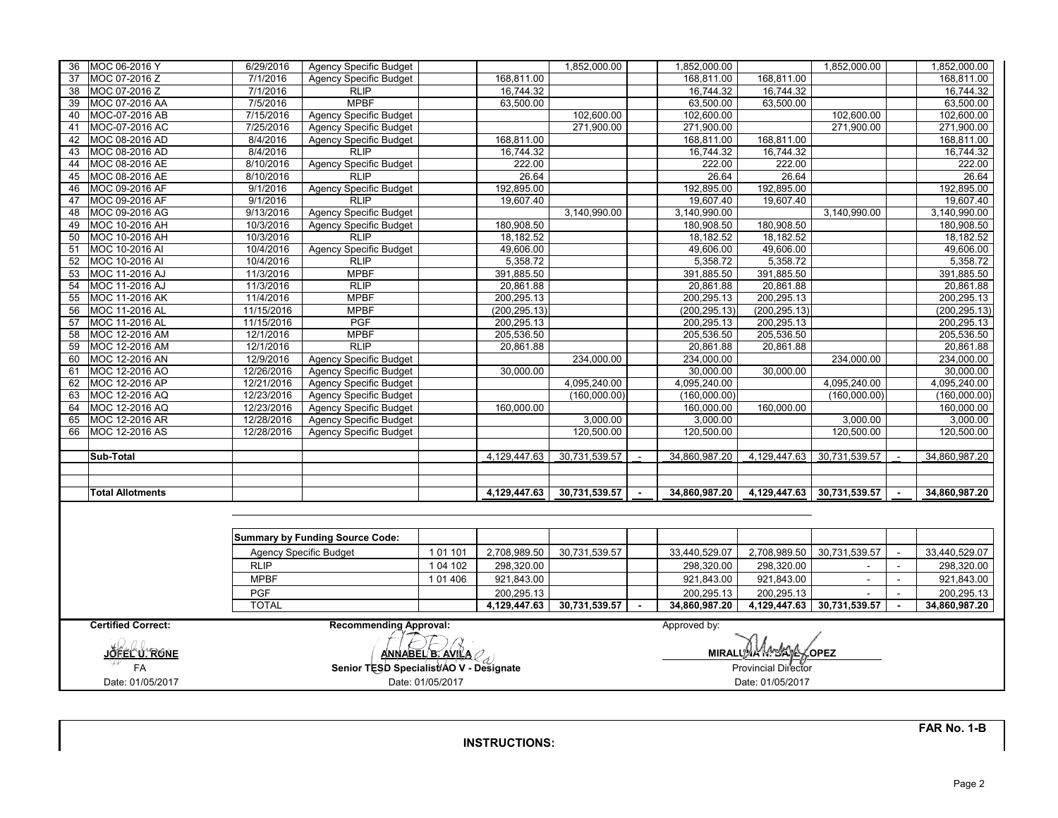| 36 | MOC 06-2016 Y                                                              | 6/29/2016               | Agency Specific Budget                  |           |               | 1,852,000.00  |                      | 1,852,000.00  |                  | 1,852,000.00               |                | 1,852,000.00  |  |
|----|----------------------------------------------------------------------------|-------------------------|-----------------------------------------|-----------|---------------|---------------|----------------------|---------------|------------------|----------------------------|----------------|---------------|--|
| 37 | MOC 07-2016 Z                                                              | 7/1/2016                | <b>Agency Specific Budget</b>           |           | 168,811.00    |               |                      | 168,811.00    | 168,811.00       |                            |                | 168,811.00    |  |
| 38 | MOC 07-2016 Z                                                              | 7/1/2016                | <b>RLIP</b>                             |           | 16,744.32     |               |                      | 16,744.32     | 16,744.32        |                            |                | 16,744.32     |  |
| 39 | MOC 07-2016 AA                                                             | 7/5/2016                | <b>MPBF</b>                             |           | 63,500.00     |               |                      | 63,500.00     | 63,500.00        |                            |                | 63,500.00     |  |
| 40 | MOC-07-2016 AB                                                             | 7/15/2016               | <b>Agency Specific Budget</b>           |           |               | 102,600.00    |                      | 102,600.00    |                  | 102,600.00                 |                | 102,600.00    |  |
| 41 | MOC-07-2016 AC                                                             | 7/25/2016               | <b>Agency Specific Budget</b>           |           |               | 271,900.00    |                      | 271,900.00    |                  | 271,900.00                 |                | 271,900.00    |  |
| 42 | MOC 08-2016 AD                                                             | 8/4/2016                | <b>Agency Specific Budget</b>           |           | 168,811.00    |               |                      | 168,811.00    | 168,811.00       |                            |                | 168,811.00    |  |
| 43 | MOC 08-2016 AD                                                             | 8/4/2016                | <b>RLIP</b>                             |           | 16,744.32     |               |                      | 16,744.32     | 16,744.32        |                            |                | 16,744.32     |  |
| 44 | MOC 08-2016 AE                                                             | 8/10/2016               | <b>Agency Specific Budget</b>           |           | 222.00        |               |                      | 222.00        | 222.00           |                            |                | 222.00        |  |
| 45 | MOC 08-2016 AE                                                             | 8/10/2016               | <b>RLIP</b>                             |           | 26.64         |               |                      | 26.64         | 26.64            |                            |                | 26.64         |  |
| 46 | MOC 09-2016 AF                                                             | 9/1/2016                | Agency Specific Budget                  |           | 192,895.00    |               |                      | 192,895.00    | 192,895.00       |                            |                | 192,895.00    |  |
| 47 | MOC 09-2016 AF                                                             | 9/1/2016                | <b>RLIP</b>                             |           | 19,607.40     |               |                      | 19,607.40     | 19,607.40        |                            |                | 19,607.40     |  |
| 48 | MOC 09-2016 AG                                                             | 9/13/2016               | <b>Agency Specific Budget</b>           |           |               | 3,140,990.00  |                      | 3,140,990.00  |                  | 3,140,990.00               |                | 3,140,990.00  |  |
| 49 | MOC 10-2016 AH                                                             | 10/3/2016               | <b>Agency Specific Budget</b>           |           | 180,908.50    |               |                      | 180,908.50    | 180,908.50       |                            |                | 180,908.50    |  |
| 50 | MOC 10-2016 AH                                                             | 10/3/2016               | <b>RLIP</b>                             |           | 18,182.52     |               |                      | 18,182.52     | 18,182.52        |                            |                | 18,182.52     |  |
| 51 | MOC 10-2016 AI                                                             | 10/4/2016               | Agency Specific Budget                  |           | 49,606.00     |               |                      | 49,606.00     | 49,606.00        |                            |                | 49,606.00     |  |
| 52 | MOC 10-2016 AI                                                             | 10/4/2016               | <b>RLIP</b>                             |           | 5,358.72      |               |                      | 5,358.72      | 5,358.72         |                            |                | 5,358.72      |  |
| 53 | MOC 11-2016 AJ                                                             | 11/3/2016               | <b>MPBF</b>                             |           | 391,885.50    |               |                      | 391,885.50    | 391,885.50       |                            |                | 391,885.50    |  |
| 54 | MOC 11-2016 AJ                                                             | 11/3/2016               | <b>RLIP</b>                             |           | 20,861.88     |               |                      | 20,861.88     | 20,861.88        |                            |                | 20,861.88     |  |
| 55 | MOC 11-2016 AK                                                             | 11/4/2016               | <b>MPBF</b>                             |           | 200,295.13    |               |                      | 200,295.13    | 200,295.13       |                            |                | 200,295.13    |  |
| 56 | MOC 11-2016 AL                                                             | 11/15/2016              | <b>MPBF</b>                             |           | (200, 295.13) |               |                      | (200.295.13)  | (200, 295.13)    |                            |                | (200, 295.13) |  |
| 57 | MOC 11-2016 AL                                                             | 11/15/2016              | <b>PGF</b>                              |           | 200,295.13    |               |                      | 200,295.13    | 200,295.13       |                            |                | 200,295.13    |  |
| 58 | MOC 12-2016 AM                                                             | 12/1/2016               | <b>MPBF</b>                             |           | 205,536.50    |               |                      | 205,536.50    | 205,536.50       |                            |                | 205,536.50    |  |
| 59 | MOC 12-2016 AM                                                             | 12/1/2016               | <b>RLIP</b>                             |           | 20,861.88     |               |                      | 20,861.88     | 20,861.88        |                            |                | 20,861.88     |  |
| 60 | MOC 12-2016 AN                                                             | 12/9/2016               | Agency Specific Budget                  |           |               | 234,000.00    |                      | 234,000.00    |                  | 234,000.00                 |                | 234,000.00    |  |
| 61 | MOC 12-2016 AO                                                             | 12/26/2016              | Agency Specific Budget                  |           | 30,000.00     |               |                      | 30,000.00     | 30,000.00        |                            |                | 30,000.00     |  |
| 62 | MOC 12-2016 AP                                                             | 12/21/2016              | <b>Agency Specific Budget</b>           |           |               | 4.095.240.00  |                      | 4,095,240.00  |                  | 4,095,240.00               |                | 4,095,240.00  |  |
| 63 | MOC 12-2016 AQ                                                             | 12/23/2016              | Agency Specific Budget                  |           |               | (160,000.00)  |                      | (160,000.00)  |                  | (160,000.00)               |                | (160,000.00)  |  |
| 64 | MOC 12-2016 AQ                                                             | 12/23/2016              | <b>Agency Specific Budget</b>           |           | 160,000.00    |               |                      | 160,000.00    | 160,000.00       |                            |                | 160,000.00    |  |
| 65 | MOC 12-2016 AR                                                             | 12/28/2016              | <b>Agency Specific Budget</b>           |           |               | 3,000.00      |                      | 3,000.00      |                  | 3,000.00                   |                | 3,000.00      |  |
| 66 | MOC 12-2016 AS                                                             | 12/28/2016              | <b>Agency Specific Budget</b>           |           |               | 120,500.00    |                      | 120,500.00    |                  | 120,500.00                 |                | 120,500.00    |  |
|    |                                                                            |                         |                                         |           |               |               |                      |               |                  |                            |                |               |  |
|    | Sub-Total                                                                  |                         |                                         |           | 4,129,447.63  | 30,731,539.57 | $\sim$               | 34,860,987.20 | 4,129,447.63     | 30,731,539.57              | $\sim$         | 34,860,987.20 |  |
|    |                                                                            |                         |                                         |           |               |               |                      |               |                  |                            |                |               |  |
|    |                                                                            |                         |                                         |           |               |               |                      |               |                  |                            |                |               |  |
|    | <b>Total Allotments</b>                                                    |                         |                                         |           | 4,129,447.63  | 30,731,539.57 |                      | 34,860,987.20 | 4,129,447.63     | 30,731,539.57              |                | 34,860,987.20 |  |
|    |                                                                            |                         |                                         |           |               |               |                      |               |                  |                            |                |               |  |
|    |                                                                            |                         |                                         |           |               |               |                      |               |                  |                            |                |               |  |
|    |                                                                            |                         | <b>Summary by Funding Source Code:</b>  |           |               |               |                      |               |                  |                            |                |               |  |
|    |                                                                            |                         |                                         |           |               |               |                      |               |                  |                            |                |               |  |
|    |                                                                            |                         | <b>Agency Specific Budget</b>           | 101101    | 2,708,989.50  | 30,731,539.57 |                      | 33,440,529.07 | 2,708,989.50     | 30,731,539.57              |                | 33,440,529.07 |  |
|    |                                                                            | <b>RLIP</b>             |                                         | 1 04 102  | 298,320.00    |               |                      | 298,320.00    | 298,320.00       | $\overline{\phantom{a}}$   |                | 298,320.00    |  |
|    |                                                                            | <b>MPBF</b>             |                                         | 1 01 4 06 | 921,843.00    |               |                      | 921,843.00    | 921,843.00       | $\blacksquare$             | $\sim$         | 921,843.00    |  |
|    |                                                                            | <b>PGF</b>              |                                         |           | 200,295.13    |               |                      | 200,295.13    | 200,295.13       |                            |                | 200,295.13    |  |
|    |                                                                            | <b>TOTAL</b>            |                                         |           | 4,129,447.63  | 30,731,539.57 | $\sim$               | 34,860,987.20 |                  | 4,129,447.63 30,731,539.57 | $\blacksquare$ | 34,860,987.20 |  |
|    | <b>Certified Correct:</b><br><b>Recommending Approval:</b><br>Approved by: |                         |                                         |           |               |               |                      |               |                  |                            |                |               |  |
|    |                                                                            |                         |                                         |           |               |               |                      |               |                  |                            |                |               |  |
|    | JOFEL Ú. RONE                                                              | <u>ANNABEL B. AVILA</u> |                                         |           |               |               | MIRALLA AMYAYA COPEZ |               |                  |                            |                |               |  |
|    | FA                                                                         |                         | Senior TESD Specialist/AO V - Designate |           |               |               | Provincial Director  |               |                  |                            |                |               |  |
|    |                                                                            |                         |                                         |           |               |               |                      |               |                  |                            |                |               |  |
|    | Date: 01/05/2017<br>Date: 01/05/2017                                       |                         |                                         |           |               |               |                      |               | Date: 01/05/2017 |                            |                |               |  |